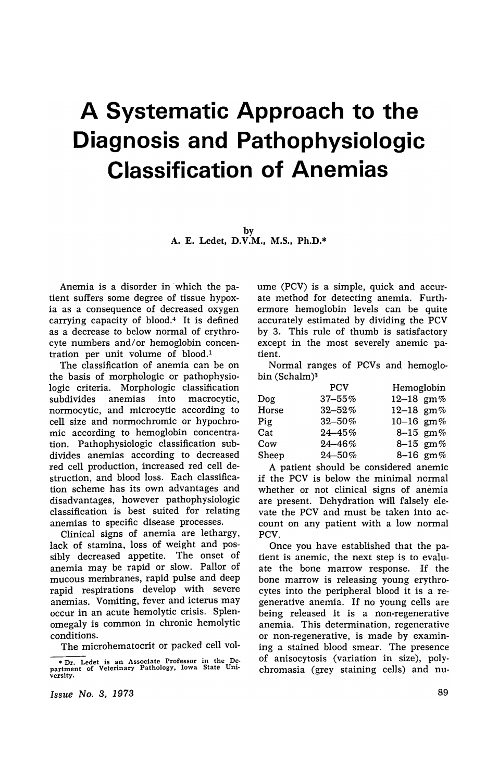# **A Systematic Approach to the Diagnosis and Pathophysiologic Classification of Anemias**

by A. E. Ledet, D.V.M., M.S., Ph.D.\*

Anemia is a disorder in which the patient suffers some degree of tissue hypoxia as a consequence of decreased oxygen carrying capacity of blood.4 It is defined as a decrease to below normal of erythrocyte numbers and/or hemoglobin concentration per unit volume of blood.1

The classification of anemia can be on the basis of morphologic or pathophysiologic criteria. Morphologic classification subdivides anemias into macrocytic, normocytic, and microcytic according to cell size and normochromic or hypochromic according to hemoglobin concentration. Pathophysiologic classification subdivides anemias according to decreased red cell production, increased red cell destruction, and blood loss. Each classification scheme has its own advantages and disadvantages, however pathophysiologic classification is best suited for relating anemias to specific disease processes.

Clinical signs of anemia are lethargy, lack of stamina, loss of weight and possibly decreased appetite. The onset of anemia may be rapid or slow. Pallor of mucous membranes, rapid pulse and deep rapid respirations develop with severe anemias. Vomiting, fever and icterus may occur in an acute hemolytic crisis. Splenomegaly is common in chronic hemolytic conditions.

The microhematocrit or packed cell vol-

*Issue No.3, 1978* 

ume (PCV) is a simple, quick and accurate method for detecting anemia. Furthermore hemoglobin levels can be quite accurately estimated by dividing the PCV by 3. This rule of thumb is satisfactory except in the most severely anemic patient.

Normal ranges of PCVs and hemoglobin (Schalm)<sup>3</sup>

|       | <b>PCV</b>  | Hemoglobin          |
|-------|-------------|---------------------|
| Dog.  | $37 - 55\%$ | 12-18 $\text{gm}\%$ |
| Horse | $32 - 52\%$ | 12-18 $\text{gm}\%$ |
| Pig   | $32 - 50\%$ | 10-16 $gm\%$        |
| Cat   | $24 - 45\%$ | 8-15 $\text{gm}\%$  |
| Cow   | $24 - 46\%$ | 8–15 gm%            |
| Sheep | $24 - 50\%$ | 8-16 $\text{gm}\%$  |

A patient should be considered anemic if the PCV is below the minimal normal whether or not clinical signs of anemia are present. Dehydration will falsely elevate the PCV and must be taken into account on any patient with a low normal PCV.

Once you have established that the patient is anemic, the next step is to evaluate the bone marrow response. If the bone marrow is releasing young erythrocytes into the peripheral blood it is a regenerative anemia. If no young cells are being released it is a non-regenerative anemia. This determination, regenerative or non-regenerative, is made by examining a stained blood smear. The presence of anisocytosis (variation in size), polychromasia (grey staining cells) and nu-

<sup>\*</sup> Dr. Ledet is an Associate Professor in the De-<br>partment of Veterinary Pathology, Iowa State University.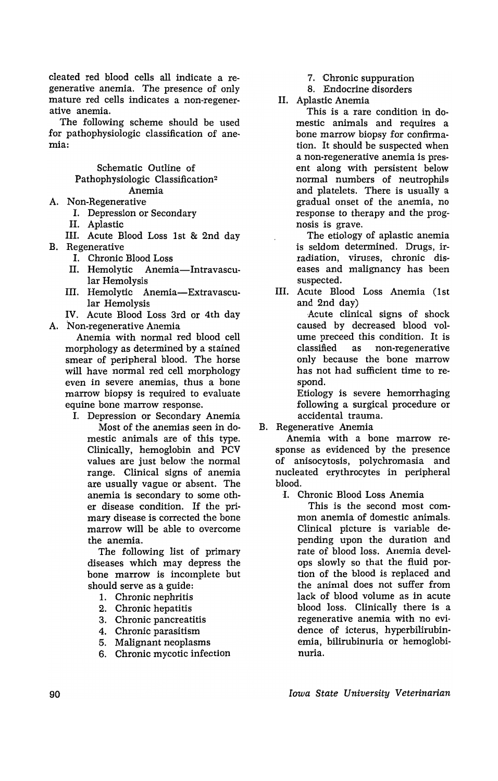cleated red blood cells all indicate a regenerative anemia. The presence of only mature red cells indicates a non-regenerative anemia.

The following scheme should be used for pathophysiologic classification of anemia:

## Schematic Outline of Pathophysiologic Classification2 Anemia

- A. Non-Regenerative
	- I. Depression or Secondary
	- II. Aplastic

III. Acute Blood Loss 1st & 2nd day B. Regenerative

- I. Chronic Blood Loss
- II. Hemolytic Anemia-Intravascular Hemolysis
- III. Hemolytic Anemia-Extravascular Hemolysis

IV. Acute Blood Loss 3rd or 4th day A. Non-regenerative Anemia

Anemia with normal red blood cell morphology as determined by a stained smear of peripheral blood. The horse will have normal red cell morphology even in severe anemias, thus a bone marrow biopsy is required to evaluate equine bone marrow response.

I. Depression or Secondary Anemia Most of the anemias seen in domestic animals are of this type. Clinically, hemoglobin and PCV values are just below the normal range. Clinical signs of anemia are usually vague or absent. The anemia is secondary to some other disease condition. 1£ the primary disease is corrected the bone marrow will be able to overcome the anemia.

The following list of primary diseases which may depress the bone marrow is incomplete but should serve as a guide:

- 1. Chronic nephritis
- 2. Chronic hepatitis
- 3. Chronic pancreatitis
- 4. Chronic parasitism
- 5. Malignant neoplasms
- 6. Chronic mycotic infection
- 7. Chronic suppuration
- 8. Endocrine disorders
- II. Aplastic Anemia

This is a rare condition in domestic animals and requires a bone marrow biopsy for confirmation. It should be suspected when a non-regenerative anemia is present along with persistent below normal numbers of neutrophils and platelets. There is usually a gradual onset of the anemia, no response to therapy and the prognosis is grave.

The etiology of aplastic anemia is seldom determined. Drugs, irradiation, viruses, chronic diseases and malignancy has been suspected.

III. Acute Blood Loss Anemia (1st and 2nd day)

Acute clinical signs of shock caused by decreased blood volume preceed this condition. It is classified as non-regenerative only because the bone marrow has not had sufficient time to respond.

Etiology is severe hemorrhaging following a surgical procedure or accidental trauma.

# B. Regenerative Anemia

Anemia with a bone marrow response as evidenced by the presence of anisocytosis, polychromasia and nucleated erythrocytes in peripheral blood.

-I. Chronic Blood Loss Anemia

This is the second most common anemia of domestic animals. Clinical picture is variable depending upon the duration and rate of blood loss. Anemia develops slowly so that the fluid portion of the blood is replaced and the animal does not suffer from lack of blood volume as in acute blood loss. Clinically there is a regenerative anemia with no evidence of icterus, hyperbilirubinemia, bilirubinuria or hemoglobinuria.

*Iowa State University Veterinarian*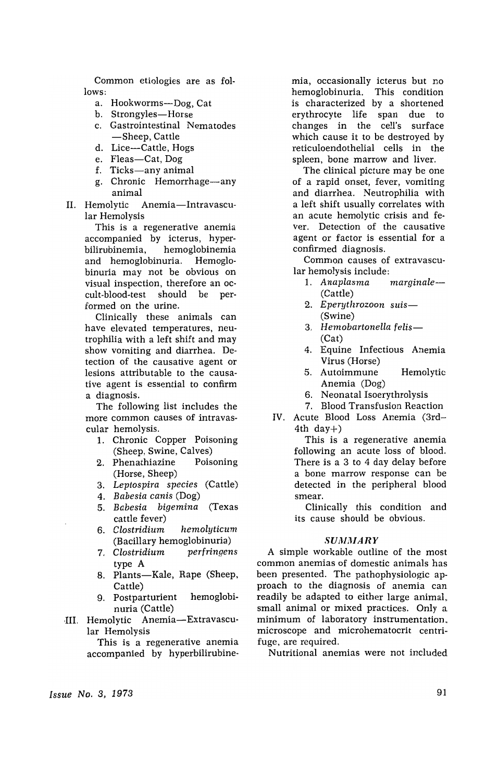Common etiologies are as follows:

- a. Hookworms-Dog, Cat
- b. Strongyles-Horse
- c. Gastrointestinal Nematodes -Sheep, Cattle
- d. Lice-Cattle, Hogs
- e. Fleas-Cat, Dog
- f. Ticks-any animal
- g. Chronic Hemorrhage-any animal
- II. Hemolytic Anemia-Intravascular Hemolysis

This is a regenerative anemia accompanied by icterus, hyperbilirubinemia, hemoglobinemia and hemoglobinuria. Hemoglobinuria may not be obvious on visual inspection, therefore an occult-blood-test should be performed on the urine.

Clinically these animals can have elevated temperatures, neutrophilia with a left shift and may show vomiting and diarrhea. Detection of the causative agent or lesions attributable to the causative agent is essential to confirm a diagnosis.

The following list includes the more common causes of intravascular hemolysis.

- 1. Chronic Copper Poisoning (Sheep, Swine, Calves)
- 2. Phenathiazine Poisoning (Horse, Sheep)
- *3. Leptospira species* (Cattle)
- *4. Babesia canis* (Dog)
- *5. Babesia bigemina* (Texas cattle fever)
- *6. Clostridium hemolyticum*  (Bacillary hemoglobinuria)
- *7. Clostridium perfringens*  type A
- 8. Plants-Kale, Rape (Sheep, Cattle)
- 9. Postparturient hemoglobinuria (Cattle)
- III. Hemolytic Anemia-Extravascular Hemolysis

This is a regenerative anemia accompanied by hyperbilirubinemia, occasionally icterus but no hemoglobinuria. This condition is characterized by a shortened erythrocyte life span due to changes in the cell's surface which cause it to be destroyed by reticuloendothelial cells in the spleen, bone marrow and liver.

The clinical picture may be one of a rapid onset, fever, vomiting and diarrhea. Neutrophilia with a left shift usually correlates with an acute hemolytic crisis and fever. Detection of the causative agent or factor is essential for a confirmed diagnosis.

Common causes of extravascular hemolysis include:

- 1. *Anaplasma marginale-* (Cattle)
- *2. Eperythrozoon suis-* (Swine)
- *3. Hemobartonella felis-* (Cat)
- 4. Equine Infectious Anemia Virus (Horse)
- 5. Autoimmune Hemolytic Anemia (Dog)
- 6. Neonatal Isoerythrolysis
- 7. Blood Transfusion Reaction IV. Acute Blood Loss Anemia (3rd-4th day $+$ )

This is a regenerative anemia following an acute loss of blood. There is a 3 to 4 day delay before a bone marrow response can be detected in the peripheral blood smear.

Clinically this condition and its cause should be obvious.

### *SUMMARY*

A simple workable outline of the most common anemias of domestic animals has been presented. The pathophysiologic approach to the diagnosis of anemia can readily be adapted to either large animal, small animal or mixed practices. Only a minimum of laboratory instrumentation. microscope and microhematocrit centrifuge, are required.

Nutritional anemias were not included

*Issue No.3, 1973*